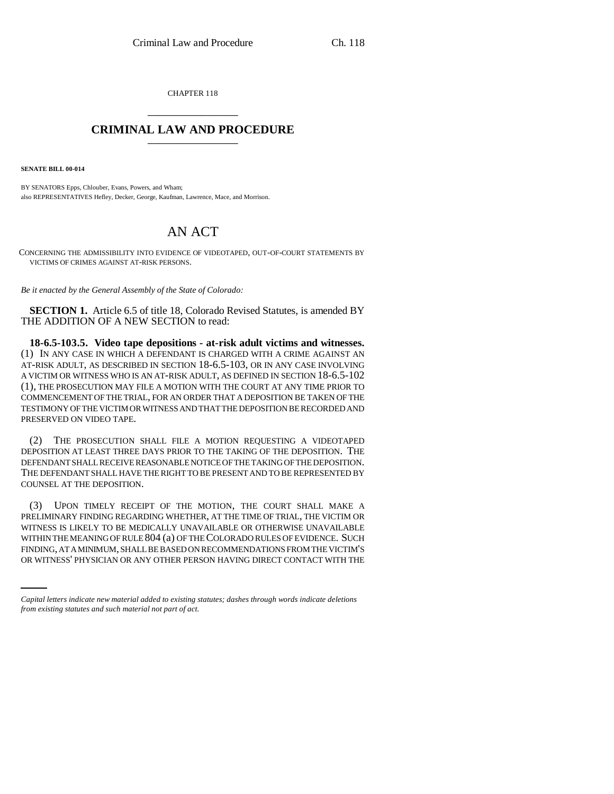CHAPTER 118 \_\_\_\_\_\_\_\_\_\_\_\_\_\_\_

## **CRIMINAL LAW AND PROCEDURE** \_\_\_\_\_\_\_\_\_\_\_\_\_\_\_

**SENATE BILL 00-014** 

BY SENATORS Epps, Chlouber, Evans, Powers, and Wham; also REPRESENTATIVES Hefley, Decker, George, Kaufman, Lawrence, Mace, and Morrison.

## AN ACT

CONCERNING THE ADMISSIBILITY INTO EVIDENCE OF VIDEOTAPED, OUT-OF-COURT STATEMENTS BY VICTIMS OF CRIMES AGAINST AT-RISK PERSONS.

*Be it enacted by the General Assembly of the State of Colorado:*

**SECTION 1.** Article 6.5 of title 18, Colorado Revised Statutes, is amended BY THE ADDITION OF A NEW SECTION to read:

**18-6.5-103.5. Video tape depositions - at-risk adult victims and witnesses.** (1) IN ANY CASE IN WHICH A DEFENDANT IS CHARGED WITH A CRIME AGAINST AN AT-RISK ADULT, AS DESCRIBED IN SECTION 18-6.5-103, OR IN ANY CASE INVOLVING A VICTIM OR WITNESS WHO IS AN AT-RISK ADULT, AS DEFINED IN SECTION 18-6.5-102 (1), THE PROSECUTION MAY FILE A MOTION WITH THE COURT AT ANY TIME PRIOR TO COMMENCEMENT OF THE TRIAL, FOR AN ORDER THAT A DEPOSITION BE TAKEN OF THE TESTIMONY OF THE VICTIM OR WITNESS AND THAT THE DEPOSITION BE RECORDED AND PRESERVED ON VIDEO TAPE.

(2) THE PROSECUTION SHALL FILE A MOTION REQUESTING A VIDEOTAPED DEPOSITION AT LEAST THREE DAYS PRIOR TO THE TAKING OF THE DEPOSITION. THE DEFENDANT SHALL RECEIVE REASONABLE NOTICE OF THE TAKING OF THE DEPOSITION. THE DEFENDANT SHALL HAVE THE RIGHT TO BE PRESENT AND TO BE REPRESENTED BY COUNSEL AT THE DEPOSITION.

WITHIN THE MEANING OF RULE 804 (a) OF THE COLORADO RULES OF EVIDENCE. SUCH (3) UPON TIMELY RECEIPT OF THE MOTION, THE COURT SHALL MAKE A PRELIMINARY FINDING REGARDING WHETHER, AT THE TIME OF TRIAL, THE VICTIM OR WITNESS IS LIKELY TO BE MEDICALLY UNAVAILABLE OR OTHERWISE UNAVAILABLE FINDING, AT A MINIMUM, SHALL BE BASED ON RECOMMENDATIONS FROM THE VICTIM'S OR WITNESS' PHYSICIAN OR ANY OTHER PERSON HAVING DIRECT CONTACT WITH THE

*Capital letters indicate new material added to existing statutes; dashes through words indicate deletions from existing statutes and such material not part of act.*